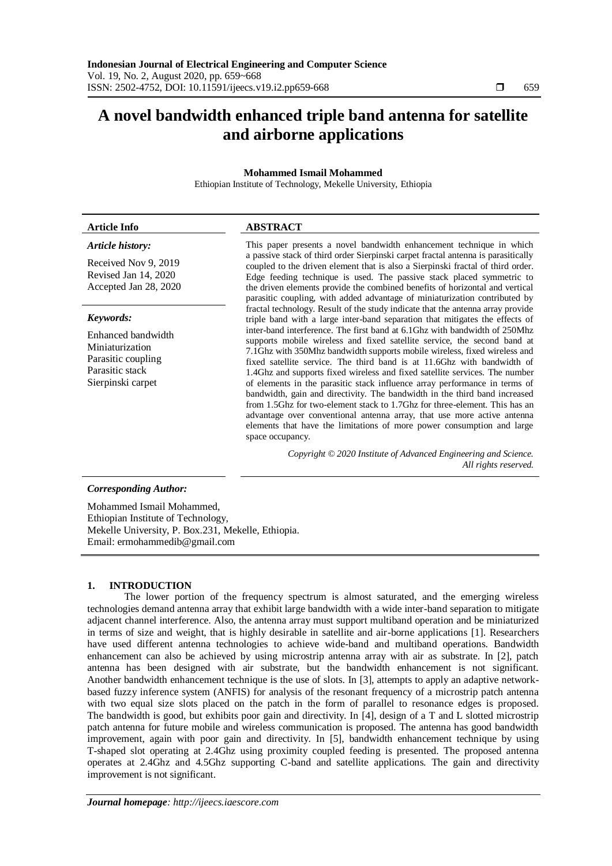# **A novel bandwidth enhanced triple band antenna for satellite and airborne applications**

# **Mohammed Ismail Mohammed**

Ethiopian Institute of Technology, Mekelle University, Ethiopia

# *Article history:*

Received Nov 9, 2019 Revised Jan 14, 2020 Accepted Jan 28, 2020

# *Keywords:*

Enhanced bandwidth Miniaturization Parasitic coupling Parasitic stack Sierpinski carpet

# **Article Info ABSTRACT**

This paper presents a novel bandwidth enhancement technique in which a passive stack of third order Sierpinski carpet fractal antenna is parasitically coupled to the driven element that is also a Sierpinski fractal of third order. Edge feeding technique is used. The passive stack placed symmetric to the driven elements provide the combined benefits of horizontal and vertical parasitic coupling, with added advantage of miniaturization contributed by fractal technology. Result of the study indicate that the antenna array provide triple band with a large inter-band separation that mitigates the effects of inter-band interference. The first band at 6.1Ghz with bandwidth of 250Mhz supports mobile wireless and fixed satellite service, the second band at 7.1Ghz with 350Mhz bandwidth supports mobile wireless, fixed wireless and fixed satellite service. The third band is at 11.6Ghz with bandwidth of 1.4Ghz and supports fixed wireless and fixed satellite services. The number of elements in the parasitic stack influence array performance in terms of bandwidth, gain and directivity. The bandwidth in the third band increased from 1.5Ghz for two-element stack to 1.7Ghz for three-element. This has an advantage over conventional antenna array, that use more active antenna elements that have the limitations of more power consumption and large space occupancy.

> *Copyright © 2020 Institute of Advanced Engineering and Science. All rights reserved.*

# *Corresponding Author:*

Mohammed Ismail Mohammed, Ethiopian Institute of Technology, Mekelle University, P. Box.231, Mekelle, Ethiopia. Email: ermohammedib@gmail.com

# **1. INTRODUCTION**

The lower portion of the frequency spectrum is almost saturated, and the emerging wireless technologies demand antenna array that exhibit large bandwidth with a wide inter-band separation to mitigate adjacent channel interference. Also, the antenna array must support multiband operation and be miniaturized in terms of size and weight, that is highly desirable in satellite and air-borne applications [1]. Researchers have used different antenna technologies to achieve wide-band and multiband operations. Bandwidth enhancement can also be achieved by using microstrip antenna array with air as substrate. In [2], patch antenna has been designed with air substrate, but the bandwidth enhancement is not significant. Another bandwidth enhancement technique is the use of slots. In [3], attempts to apply an adaptive networkbased fuzzy inference system (ANFIS) for analysis of the resonant frequency of a microstrip patch antenna with two equal size slots placed on the patch in the form of parallel to resonance edges is proposed. The bandwidth is good, but exhibits poor gain and directivity. In [4], design of a T and L slotted microstrip patch antenna for future mobile and wireless communication is proposed. The antenna has good bandwidth improvement, again with poor gain and directivity. In [5], bandwidth enhancement technique by using T-shaped slot operating at 2.4Ghz using proximity coupled feeding is presented. The proposed antenna operates at 2.4Ghz and 4.5Ghz supporting C-band and satellite applications. The gain and directivity improvement is not significant.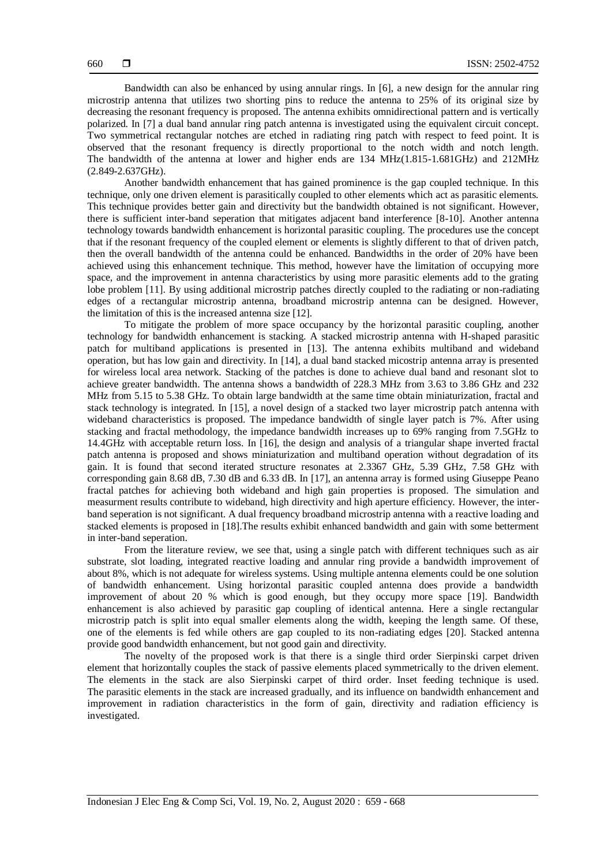Bandwidth can also be enhanced by using annular rings. In [6], a new design for the annular ring microstrip antenna that utilizes two shorting pins to reduce the antenna to 25% of its original size by decreasing the resonant frequency is proposed. The antenna exhibits omnidirectional pattern and is vertically polarized. In [7] a dual band annular ring patch antenna is investigated using the equivalent circuit concept. Two symmetrical rectangular notches are etched in radiating ring patch with respect to feed point. It is observed that the resonant frequency is directly proportional to the notch width and notch length. The bandwidth of the antenna at lower and higher ends are 134 MHz(1.815-1.681GHz) and 212MHz (2.849-2.637GHz).

Another bandwidth enhancement that has gained prominence is the gap coupled technique. In this technique, only one driven element is parasitically coupled to other elements which act as parasitic elements. This technique provides better gain and directivity but the bandwidth obtained is not significant. However, there is sufficient inter-band seperation that mitigates adjacent band interference [8-10]. Another antenna technology towards bandwidth enhancement is horizontal parasitic coupling. The procedures use the concept that if the resonant frequency of the coupled element or elements is slightly different to that of driven patch, then the overall bandwidth of the antenna could be enhanced. Bandwidths in the order of 20% have been achieved using this enhancement technique. This method, however have the limitation of occupying more space, and the improvement in antenna characteristics by using more parasitic elements add to the grating lobe problem [11]. By using additional microstrip patches directly coupled to the radiating or non-radiating edges of a rectangular microstrip antenna, broadband microstrip antenna can be designed. However, the limitation of this is the increased antenna size [12].

To mitigate the problem of more space occupancy by the horizontal parasitic coupling, another technology for bandwidth enhancement is stacking. A stacked microstrip antenna with H-shaped parasitic patch for multiband applications is presented in [13]. The antenna exhibits multiband and wideband operation, but has low gain and directivity. In [14], a dual band stacked micostrip antenna array is presented for wireless local area network. Stacking of the patches is done to achieve dual band and resonant slot to achieve greater bandwidth. The antenna shows a bandwidth of 228.3 MHz from 3.63 to 3.86 GHz and 232 MHz from 5.15 to 5.38 GHz. To obtain large bandwidth at the same time obtain miniaturization, fractal and stack technology is integrated. In [15], a novel design of a stacked two layer microstrip patch antenna with wideband characteristics is proposed. The impedance bandwidth of single layer patch is 7%. After using stacking and fractal methodology, the impedance bandwidth increases up to 69% ranging from 7.5GHz to 14.4GHz with acceptable return loss. In [16], the design and analysis of a triangular shape inverted fractal patch antenna is proposed and shows miniaturization and multiband operation without degradation of its gain. It is found that second iterated structure resonates at 2.3367 GHz, 5.39 GHz, 7.58 GHz with corresponding gain 8.68 dB, 7.30 dB and 6.33 dB. In [17], an antenna array is formed using Giuseppe Peano fractal patches for achieving both wideband and high gain properties is proposed. The simulation and measurment results contribute to wideband, high directivity and high aperture efficiency. However, the interband seperation is not significant. A dual frequency broadband microstrip antenna with a reactive loading and stacked elements is proposed in [18].The results exhibit enhanced bandwidth and gain with some betterment in inter-band seperation.

From the literature review, we see that, using a single patch with different techniques such as air substrate, slot loading, integrated reactive loading and annular ring provide a bandwidth improvement of about 8%, which is not adequate for wireless systems. Using multiple antenna elements could be one solution of bandwidth enhancement. Using horizontal parasitic coupled antenna does provide a bandwidth improvement of about 20 % which is good enough, but they occupy more space [19]. Bandwidth enhancement is also achieved by parasitic gap coupling of identical antenna. Here a single rectangular microstrip patch is split into equal smaller elements along the width, keeping the length same. Of these, one of the elements is fed while others are gap coupled to its non-radiating edges [20]. Stacked antenna provide good bandwidth enhancement, but not good gain and directivity.

The novelty of the proposed work is that there is a single third order Sierpinski carpet driven element that horizontally couples the stack of passive elements placed symmetrically to the driven element. The elements in the stack are also Sierpinski carpet of third order. Inset feeding technique is used. The parasitic elements in the stack are increased gradually, and its influence on bandwidth enhancement and improvement in radiation characteristics in the form of gain, directivity and radiation efficiency is investigated.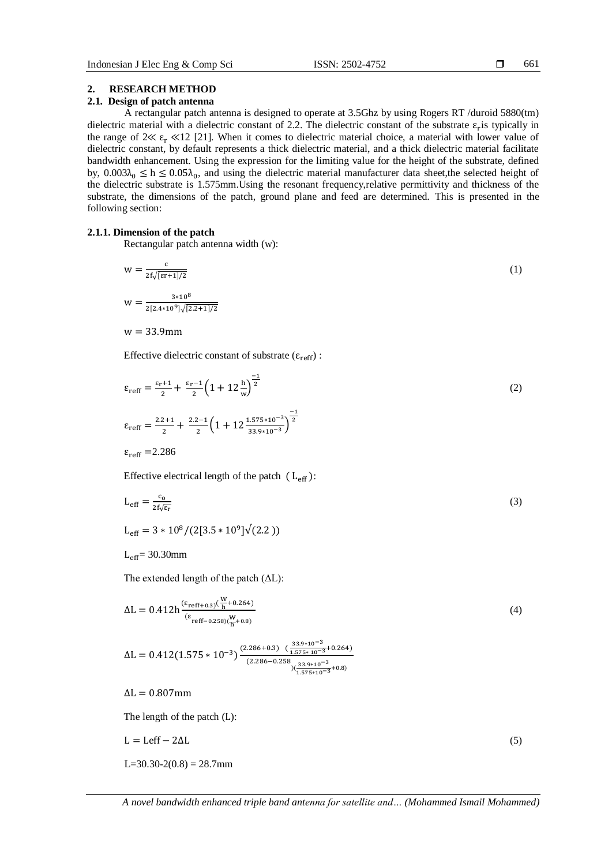# **2. RESEARCH METHOD**

# **2.1. Design of patch antenna**

A rectangular patch antenna is designed to operate at 3.5Ghz by using Rogers RT /duroid 5880(tm) dielectric material with a dielectric constant of 2.2. The dielectric constant of the substrate  $\varepsilon_r$  is typically in the range of  $2 \ll \varepsilon_r \ll 12$  [21]. When it comes to dielectric material choice, a material with lower value of dielectric constant, by default represents a thick dielectric material, and a thick dielectric material facilitate bandwidth enhancement. Using the expression for the limiting value for the height of the substrate, defined by,  $0.003\lambda_0 \leq h \leq 0.05\lambda_0$ , and using the dielectric material manufacturer data sheet, the selected height of the dielectric substrate is 1.575mm.Using the resonant frequency,relative permittivity and thickness of the substrate, the dimensions of the patch, ground plane and feed are determined. This is presented in the following section:

# **2.1.1. Dimension of the patch**

Rectangular patch antenna width (w):

$$
w = \frac{c}{2f\sqrt{[er+1]/2}}
$$
  
\n
$$
w = \frac{3*10^8}{2[2.4*10^9]\sqrt{[2.2+1]/2}}
$$
  
\n
$$
w = 33.9 \text{mm}
$$
 (1)

Effective dielectric constant of substrate ( $\varepsilon_{\text{reff}}$ ):

$$
\varepsilon_{\text{reff}} = \frac{\varepsilon_{\text{r}} + 1}{2} + \frac{\varepsilon_{\text{r}} - 1}{2} \left( 1 + 12 \frac{\text{h}}{\text{w}} \right)^{\frac{-1}{2}}
$$
\n
$$
\varepsilon_{\text{reff}} = \frac{2.2 + 1}{2} + \frac{2.2 - 1}{2} \left( 1 + 12 \frac{1.575 \times 10^{-3}}{33.9 \times 10^{-3}} \right)^{\frac{-1}{2}}
$$
\n
$$
\varepsilon_{\text{reff}} = 2.286
$$
\nEffective electrical length of the patch (L<sub>eff</sub>):

$$
L_{\text{eff}} = \frac{c_0}{2f\sqrt{\epsilon_r}}\tag{3}
$$

 $L_{\text{eff}} = 3 * 10^8 / (2[3.5 * 10^9] \sqrt{(}$ 

 $L_{eff}$  = 30.30mm

The extended length of the patch (ΔL):

 $\mathbf{r}$ 

$$
\Delta L = 0.412 h^{\frac{(\epsilon_{\text{reff+0.3}})(\frac{W}{h} + 0.264)}{(\epsilon_{\text{reff-0.258}})(\frac{W}{h} + 0.8)}}
$$
(4)

$$
\Delta L = 0.412(1.575 \times 10^{-3}) \frac{(2.286 + 0.3) \left(\frac{33.9 \times 10^{-3}}{1.575 \times 10^{-3}} + 0.264\right)}{(2.286 - 0.258 \left(\frac{33.9 \times 10^{-3}}{1.575 \times 10^{-3}} + 0.8\right)}
$$

 $\Delta L = 0.807$ mm

The length of the patch (L):

$$
L = \text{Left} - 2\Delta L \tag{5}
$$

 $L=30.30-2(0.8) = 28.7$ mm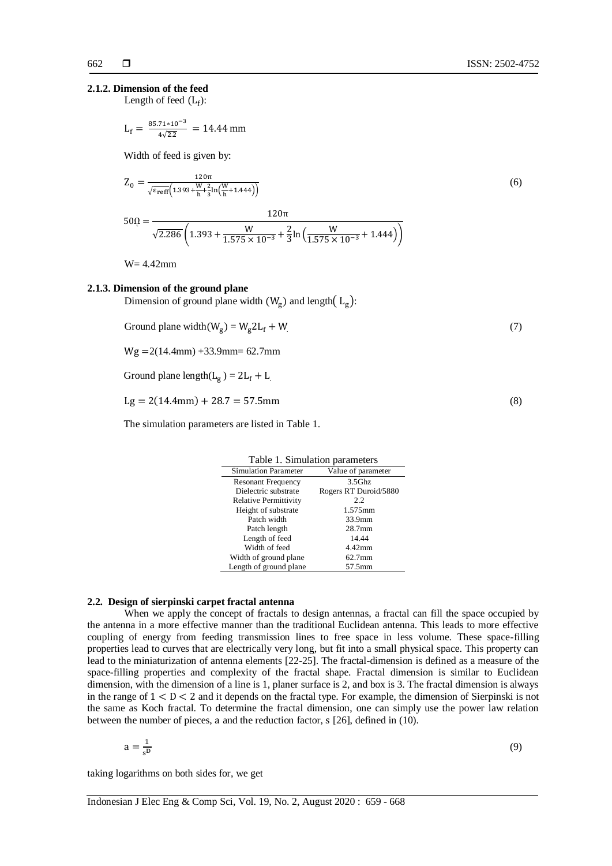# **2.1.2. Dimension of the feed**

Length of feed  $(L_f)$ :

$$
L_f = \frac{85.71 \times 10^{-3}}{4\sqrt{2.2}} = 14.44 \text{ mm}
$$

Width of feed is given by:

$$
Z_0 = \frac{120\pi}{\sqrt{\varepsilon_{\text{reff}} \left(1.393 + \frac{W}{h} + \frac{2}{3}\ln\left(\frac{W}{h} + 1.444\right)\right)}}\tag{6}
$$

$$
50\Omega = \frac{120\pi}{\sqrt{2.286} \left( 1.393 + \frac{W}{1.575 \times 10^{-3}} + \frac{2}{3} \ln \left( \frac{W}{1.575 \times 10^{-3}} + 1.444 \right) \right)}
$$

W= 4.42mm

## **2.1.3. Dimension of the ground plane**

Dimension of ground plane width  $(W_g)$  and length $(L_g)$ :

$$
Ground plane width(Wg) = Wg 2Lf + W
$$
\n(7)

 $Wg = 2(14.4mm) +33.9mm = 62.7mm$ 

Ground plane length( $L_g$ ) =

$$
Lg = 2(14.4 \text{mm}) + 28.7 = 57.5 \text{mm}
$$
 (8)

The simulation parameters are listed in Table 1.

| Table 1. Simulation parameters |                       |  |
|--------------------------------|-----------------------|--|
| <b>Simulation Parameter</b>    | Value of parameter    |  |
| <b>Resonant Frequency</b>      | $3.5$ Ghz             |  |
| Dielectric substrate           | Rogers RT Duroid/5880 |  |
| <b>Relative Permittivity</b>   | 2.2                   |  |
| Height of substrate            | 1.575mm               |  |
| Patch width                    | 33.9mm                |  |
| Patch length                   | 28.7mm                |  |
| Length of feed                 | 14.44                 |  |
| Width of feed                  | $4.42$ mm             |  |
| Width of ground plane          | $62.7$ mm             |  |
| Length of ground plane         | 57.5mm                |  |

# **2.2. Design of sierpinski carpet fractal antenna**

When we apply the concept of fractals to design antennas, a fractal can fill the space occupied by the antenna in a more effective manner than the traditional Euclidean antenna. This leads to more effective coupling of energy from feeding transmission lines to free space in less volume. These space-filling properties lead to curves that are electrically very long, but fit into a small physical space. This property can lead to the miniaturization of antenna elements [22-25]. The fractal-dimension is defined as a measure of the space-filling properties and complexity of the fractal shape. Fractal dimension is similar to Euclidean dimension, with the dimension of a line is 1, planer surface is 2, and box is 3. The fractal dimension is always in the range of  $1 < D < 2$  and it depends on the fractal type. For example, the dimension of Sierpinski is not the same as Koch fractal. To determine the fractal dimension, one can simply use the power law relation between the number of pieces, a and the reduction factor,  $s$  [26], defined in (10).

$$
a = \frac{1}{s^D} \tag{9}
$$

taking logarithms on both sides for, we get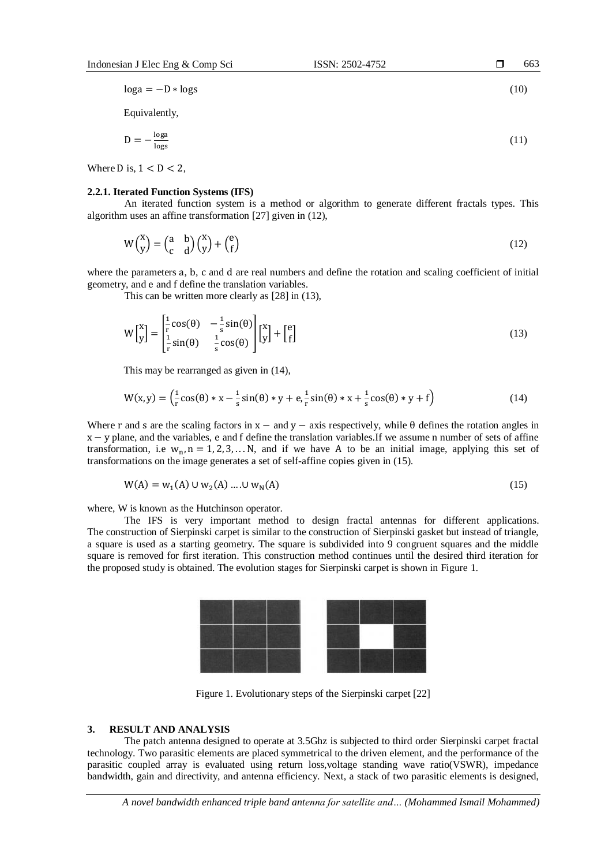$\log a = -D * \log s$  (10)

Equivalently,

$$
D = -\frac{\log a}{\log s} \tag{11}
$$

Where D is,  $1 < D < 2$ ,

#### **2.2.1. Iterated Function Systems (IFS)**

An iterated function system is a method or algorithm to generate different fractals types. This algorithm uses an affine transformation [27] given in (12),

$$
W\binom{x}{y} = \binom{a}{c} \binom{b}{y} \binom{x}{f} + \binom{e}{f}
$$
\n(12)

where the parameters a, b, c and d are real numbers and define the rotation and scaling coefficient of initial geometry, and e and f define the translation variables.

This can be written more clearly as [28] in (13),

$$
W\begin{bmatrix} x \\ y \end{bmatrix} = \begin{bmatrix} \frac{1}{r}\cos(\theta) & -\frac{1}{s}\sin(\theta) \\ \frac{1}{r}\sin(\theta) & \frac{1}{s}\cos(\theta) \end{bmatrix} \begin{bmatrix} x \\ y \end{bmatrix} + \begin{bmatrix} e \\ f \end{bmatrix}
$$
(13)

This may be rearranged as given in (14),

$$
W(x, y) = \left(\frac{1}{r}\cos(\theta) * x - \frac{1}{s}\sin(\theta) * y + e, \frac{1}{r}\sin(\theta) * x + \frac{1}{s}\cos(\theta) * y + f\right)
$$
(14)

Where r and s are the scaling factors in  $x -$  and  $y -$  axis respectively, while  $\theta$  defines the rotation angles in  $x - y$  plane, and the variables, e and f define the translation variables. If we assume n number of sets of affine transformation, i.e  $w_n$ , n = 1, 2, 3, ... N, and if we have A to be an initial image, applying this set of transformations on the image generates a set of self-affine copies given in (15).

$$
W(A) = w_1(A) \cup w_2(A) \dots \cup w_N(A)
$$
\n(15)

where, W is known as the Hutchinson operator.

The IFS is very important method to design fractal antennas for different applications. The construction of Sierpinski carpet is similar to the construction of Sierpinski gasket but instead of triangle, a square is used as a starting geometry. The square is subdivided into 9 congruent squares and the middle square is removed for first iteration. This construction method continues until the desired third iteration for the proposed study is obtained. The evolution stages for Sierpinski carpet is shown in Figure 1.



Figure 1. Evolutionary steps of the Sierpinski carpet [22]

# **3. RESULT AND ANALYSIS**

The patch antenna designed to operate at 3.5Ghz is subjected to third order Sierpinski carpet fractal technology. Two parasitic elements are placed symmetrical to the driven element, and the performance of the parasitic coupled array is evaluated using return loss,voltage standing wave ratio(VSWR), impedance bandwidth, gain and directivity, and antenna efficiency. Next, a stack of two parasitic elements is designed,

663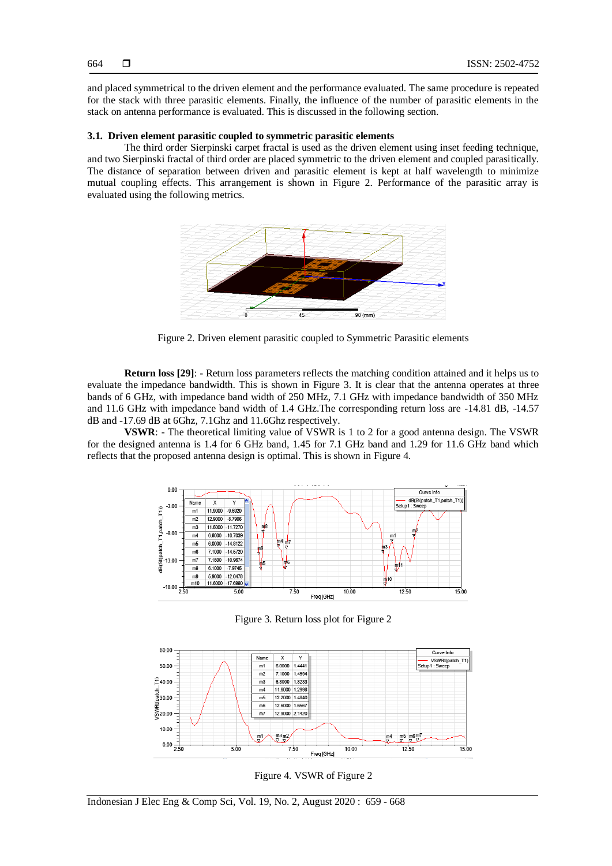664

and placed symmetrical to the driven element and the performance evaluated. The same procedure is repeated for the stack with three parasitic elements. Finally, the influence of the number of parasitic elements in the stack on antenna performance is evaluated. This is discussed in the following section.

# **3.1. Driven element parasitic coupled to symmetric parasitic elements**

The third order Sierpinski carpet fractal is used as the driven element using inset feeding technique, and two Sierpinski fractal of third order are placed symmetric to the driven element and coupled parasitically. The distance of separation between driven and parasitic element is kept at half wavelength to minimize mutual coupling effects. This arrangement is shown in Figure 2. Performance of the parasitic array is evaluated using the following metrics.



Figure 2. Driven element parasitic coupled to Symmetric Parasitic elements

**Return loss [29]**: - Return loss parameters reflects the matching condition attained and it helps us to evaluate the impedance bandwidth. This is shown in Figure 3. It is clear that the antenna operates at three bands of 6 GHz, with impedance band width of 250 MHz, 7.1 GHz with impedance bandwidth of 350 MHz and 11.6 GHz with impedance band width of 1.4 GHz.The corresponding return loss are -14.81 dB, -14.57 dB and -17.69 dB at 6Ghz, 7.1Ghz and 11.6Ghz respectively.

**VSWR**: - The theoretical limiting value of VSWR is 1 to 2 for a good antenna design. The VSWR for the designed antenna is 1.4 for 6 GHz band, 1.45 for 7.1 GHz band and 1.29 for 11.6 GHz band which reflects that the proposed antenna design is optimal. This is shown in Figure 4.



Figure 3. Return loss plot for Figure 2



Figure 4. VSWR of Figure 2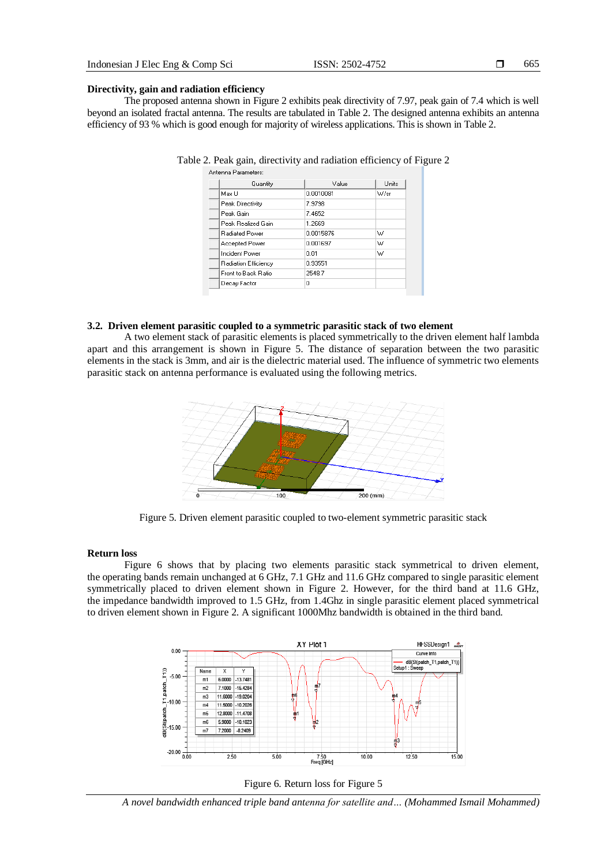665

#### **Directivity, gain and radiation efficiency**

The proposed antenna shown in Figure 2 exhibits peak directivity of 7.97, peak gain of 7.4 which is well beyond an isolated fractal antenna. The results are tabulated in Table 2. The designed antenna exhibits an antenna efficiency of 93 % which is good enough for majority of wireless applications. This is shown in Table 2.

| Quantity              | Value     | <b>Units</b> |
|-----------------------|-----------|--------------|
| Max LI                | 0.0010081 | W/sr         |
| Peak Directivity      | 7.9798    |              |
| Peak Gain             | 7.4652    |              |
| Peak Realized Gain    | 1.2669    |              |
| <b>Radiated Power</b> | 0.0015876 | w            |
| Accepted Power        | 0.001697  | W            |
| Incident Power        | 0.01      | W            |
| Radiation Efficiency  | 0.93551   |              |
| Front to Back Ratio   | 2548.7    |              |
| Decay Factor          | ۵         |              |

| Table 2. Peak gain, directivity and radiation efficiency of Figure 2 |  |  |
|----------------------------------------------------------------------|--|--|
|                                                                      |  |  |

#### **3.2. Driven element parasitic coupled to a symmetric parasitic stack of two element**

A two element stack of parasitic elements is placed symmetrically to the driven element half lambda apart and this arrangement is shown in Figure 5. The distance of separation between the two parasitic elements in the stack is 3mm, and air is the dielectric material used. The influence of symmetric two elements parasitic stack on antenna performance is evaluated using the following metrics.



Figure 5. Driven element parasitic coupled to two-element symmetric parasitic stack

#### **Return loss**

Figure 6 shows that by placing two elements parasitic stack symmetrical to driven element, the operating bands remain unchanged at 6 GHz, 7.1 GHz and 11.6 GHz compared to single parasitic element symmetrically placed to driven element shown in Figure 2. However, for the third band at 11.6 GHz, the impedance bandwidth improved to 1.5 GHz, from 1.4Ghz in single parasitic element placed symmetrical to driven element shown in Figure 2. A significant 1000Mhz bandwidth is obtained in the third band.





*A novel bandwidth enhanced triple band antenna for satellite and… (Mohammed Ismail Mohammed)*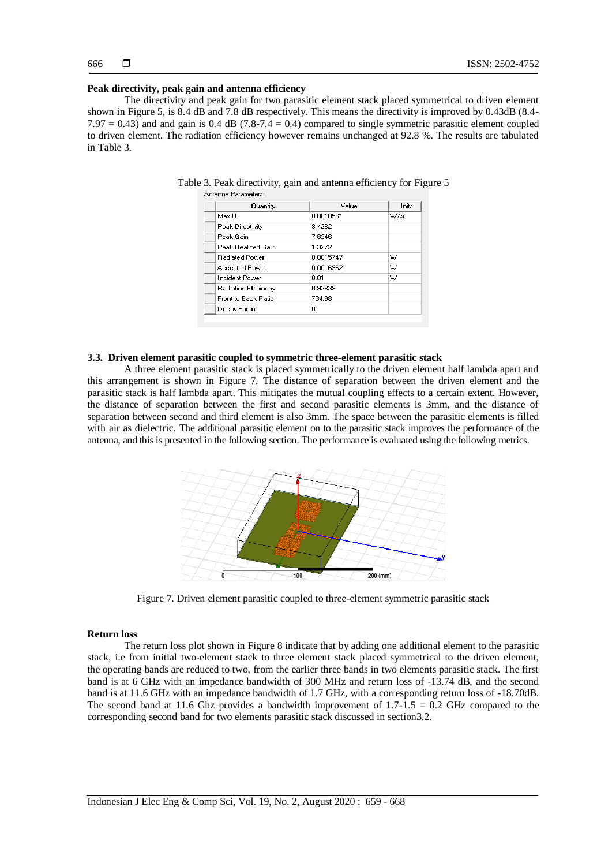#### **Peak directivity, peak gain and antenna efficiency**

The directivity and peak gain for two parasitic element stack placed symmetrical to driven element shown in Figure 5, is 8.4 dB and 7.8 dB respectively. This means the directivity is improved by 0.43dB (8.4-  $7.97 = 0.43$ ) and and gain is 0.4 dB (7.8-7.4 = 0.4) compared to single symmetric parasitic element coupled to driven element. The radiation efficiency however remains unchanged at 92.8 %. The results are tabulated in Table 3.

| Quantity              | Value     | Units |
|-----------------------|-----------|-------|
| Max U                 | 0.0010561 | W/sr  |
| Peak Directivity      | 84282     |       |
| Peak Gain             | 7.8246    |       |
| Peak Realized Gain    | 1.3272    |       |
| <b>Badiated Power</b> | 0.0015747 | W     |
| <b>Accepted Power</b> | 0.0016962 | w     |
| Incident Power        | 0.01      | W     |
| Radiation Efficiency  | 0.92838   |       |
| Front to Back Ratio   | 734.98    |       |
| Decay Factor          | Ω         |       |

Table 3. Peak directivity, gain and antenna efficiency for Figure 5 Antenna Parameters:

#### **3.3. Driven element parasitic coupled to symmetric three-element parasitic stack**

A three element parasitic stack is placed symmetrically to the driven element half lambda apart and this arrangement is shown in Figure 7. The distance of separation between the driven element and the parasitic stack is half lambda apart. This mitigates the mutual coupling effects to a certain extent. However, the distance of separation between the first and second parasitic elements is 3mm, and the distance of separation between second and third element is also 3mm. The space between the parasitic elements is filled with air as dielectric. The additional parasitic element on to the parasitic stack improves the performance of the antenna, and this is presented in the following section. The performance is evaluated using the following metrics.



Figure 7. Driven element parasitic coupled to three-element symmetric parasitic stack

#### **Return loss**

The return loss plot shown in Figure 8 indicate that by adding one additional element to the parasitic stack, i.e from initial two-element stack to three element stack placed symmetrical to the driven element, the operating bands are reduced to two, from the earlier three bands in two elements parasitic stack. The first band is at 6 GHz with an impedance bandwidth of 300 MHz and return loss of -13.74 dB, and the second band is at 11.6 GHz with an impedance bandwidth of 1.7 GHz, with a corresponding return loss of -18.70dB. The second band at 11.6 Ghz provides a bandwidth improvement of  $1.7\n-1.5 = 0.2$  GHz compared to the corresponding second band for two elements parasitic stack discussed in section3.2.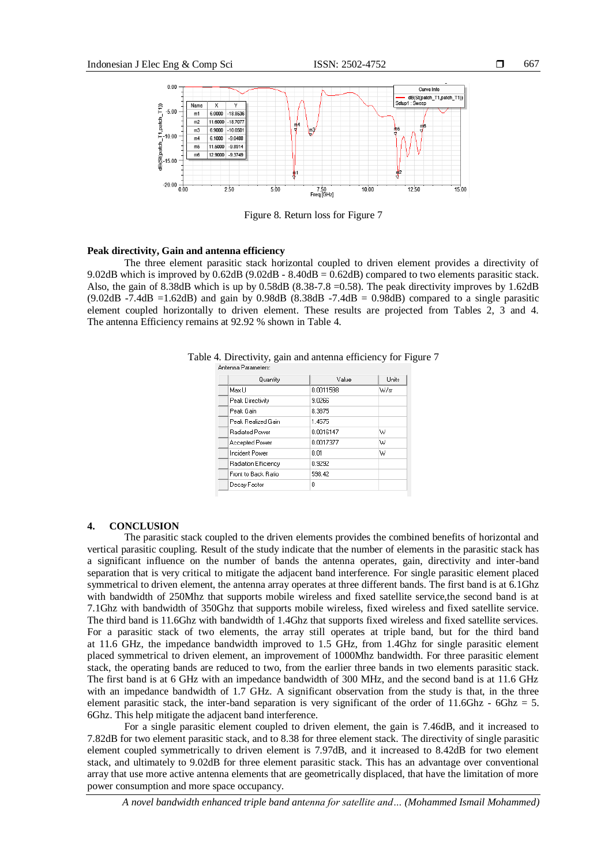

Figure 8. Return loss for Figure 7

#### **Peak directivity, Gain and antenna efficiency**

The three element parasitic stack horizontal coupled to driven element provides a directivity of 9.02dB which is improved by 0.62dB (9.02dB - 8.40dB = 0.62dB) compared to two elements parasitic stack. Also, the gain of 8.38dB which is up by 0.58dB (8.38-7.8 =0.58). The peak directivity improves by 1.62dB  $(9.02dB - 7.4dB = 1.62dB)$  and gain by 0.98dB  $(8.38dB - 7.4dB = 0.98dB)$  compared to a single parasitic element coupled horizontally to driven element. These results are projected from Tables 2, 3 and 4. The antenna Efficiency remains at 92.92 % shown in Table 4.

| Quantity              | Value     | Units |
|-----------------------|-----------|-------|
| Max U                 | 0.0011598 | W/sr  |
| Peak Directivity      | 9.0266    |       |
| Peak Gain             | 8.3875    |       |
| Peak Realized Gain    | 1.4575    |       |
| <b>Badiated Power</b> | 0.0016147 | w     |
| Accepted Power        | በ በበ17377 | W     |
| <b>Incident Power</b> | 0.01      | W     |
| Radiation Efficiency  | 0.9292    |       |
| Front to Back Ratio   | 598.42    |       |
| Decay Factor          | 0         |       |

Table 4. Directivity, gain and antenna efficiency for Figure 7

### **4. CONCLUSION**

The parasitic stack coupled to the driven elements provides the combined benefits of horizontal and vertical parasitic coupling. Result of the study indicate that the number of elements in the parasitic stack has a significant influence on the number of bands the antenna operates, gain, directivity and inter-band separation that is very critical to mitigate the adjacent band interference. For single parasitic element placed symmetrical to driven element, the antenna array operates at three different bands. The first band is at 6.1Ghz with bandwidth of 250Mhz that supports mobile wireless and fixed satellite service,the second band is at 7.1Ghz with bandwidth of 350Ghz that supports mobile wireless, fixed wireless and fixed satellite service. The third band is 11.6Ghz with bandwidth of 1.4Ghz that supports fixed wireless and fixed satellite services. For a parasitic stack of two elements, the array still operates at triple band, but for the third band at 11.6 GHz, the impedance bandwidth improved to 1.5 GHz, from 1.4Ghz for single parasitic element placed symmetrical to driven element, an improvement of 1000Mhz bandwidth. For three parasitic element stack, the operating bands are reduced to two, from the earlier three bands in two elements parasitic stack. The first band is at 6 GHz with an impedance bandwidth of 300 MHz, and the second band is at 11.6 GHz with an impedance bandwidth of 1.7 GHz. A significant observation from the study is that, in the three element parasitic stack, the inter-band separation is very significant of the order of  $11.6Ghz - 6Ghz = 5$ . 6Ghz. This help mitigate the adjacent band interference.

For a single parasitic element coupled to driven element, the gain is 7.46dB, and it increased to 7.82dB for two element parasitic stack, and to 8.38 for three element stack. The directivity of single parasitic element coupled symmetrically to driven element is 7.97dB, and it increased to 8.42dB for two element stack, and ultimately to 9.02dB for three element parasitic stack. This has an advantage over conventional array that use more active antenna elements that are geometrically displaced, that have the limitation of more power consumption and more space occupancy.